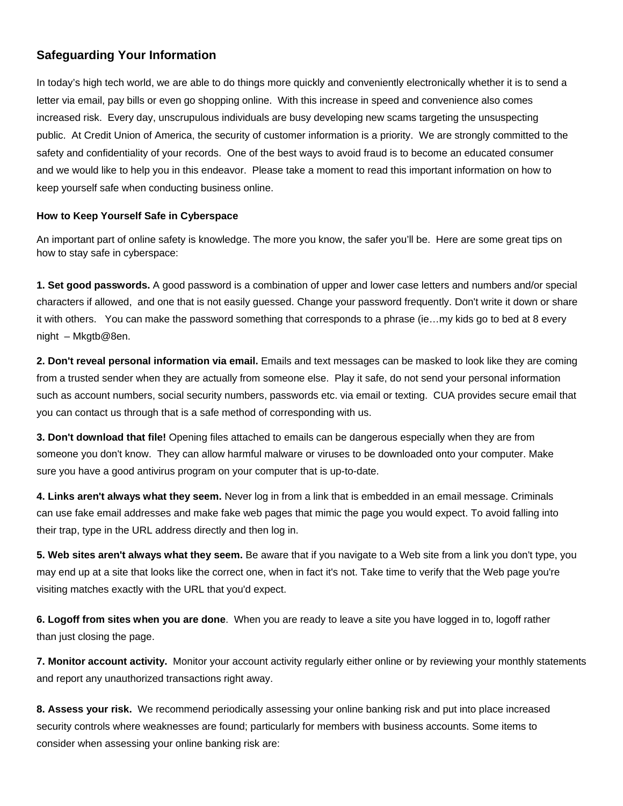# **Safeguarding Your Information**

 letter via email, pay bills or even go shopping online. With this increase in speed and convenience also comes In today's high tech world, we are able to do things more quickly and conveniently electronically whether it is to send a increased risk. Every day, unscrupulous individuals are busy developing new scams targeting the unsuspecting public. At Credit Union of America, the security of customer information is a priority. We are strongly committed to the safety and confidentiality of your records. One of the best ways to avoid fraud is to become an educated consumer and we would like to help you in this endeavor. Please take a moment to read this important information on how to keep yourself safe when conducting business online.

# **How to Keep Yourself Safe in Cyberspace**

An important part of online safety is knowledge. The more you know, the safer you'll be. Here are some great tips on how to stay safe in cyberspace:

 it with others. You can make the password something that corresponds to a phrase (ie…my kids go to bed at 8 every **1. Set good passwords.** A good password is a combination of upper and lower case letters and numbers and/or special characters if allowed, and one that is not easily guessed. Change your password frequently. Don't write it down or share night – Mkgtb@8en.

**2. Don't reveal personal information via email.** Emails and text messages can be masked to look like they are coming from a trusted sender when they are actually from someone else. Play it safe, do not send your personal information such as account numbers, social security numbers, passwords etc. via email or texting. CUA provides secure email that you can contact us through that is a safe method of corresponding with us.

**3. Don't download that file!** Opening files attached to emails can be dangerous especially when they are from someone you don't know. They can allow harmful malware or viruses to be downloaded onto your computer. Make sure you have a good antivirus program on your computer that is up-to-date.

 **4. Links aren't always what they seem.** Never log in from a link that is embedded in an email message. Criminals can use fake email addresses and make fake web pages that mimic the page you would expect. To avoid falling into their trap, type in the URL address directly and then log in.

 **5. Web sites aren't always what they seem.** Be aware that if you navigate to a Web site from a link you don't type, you may end up at a site that looks like the correct one, when in fact it's not. Take time to verify that the Web page you're visiting matches exactly with the URL that you'd expect.

**6. Logoff from sites when you are done**. When you are ready to leave a site you have logged in to, logoff rather than just closing the page.

**7. Monitor account activity.** Monitor your account activity regularly either online or by reviewing your monthly statements and report any unauthorized transactions right away.

**8. Assess your risk.** We recommend periodically assessing your online banking risk and put into place increased security controls where weaknesses are found; particularly for members with business accounts. Some items to consider when assessing your online banking risk are: